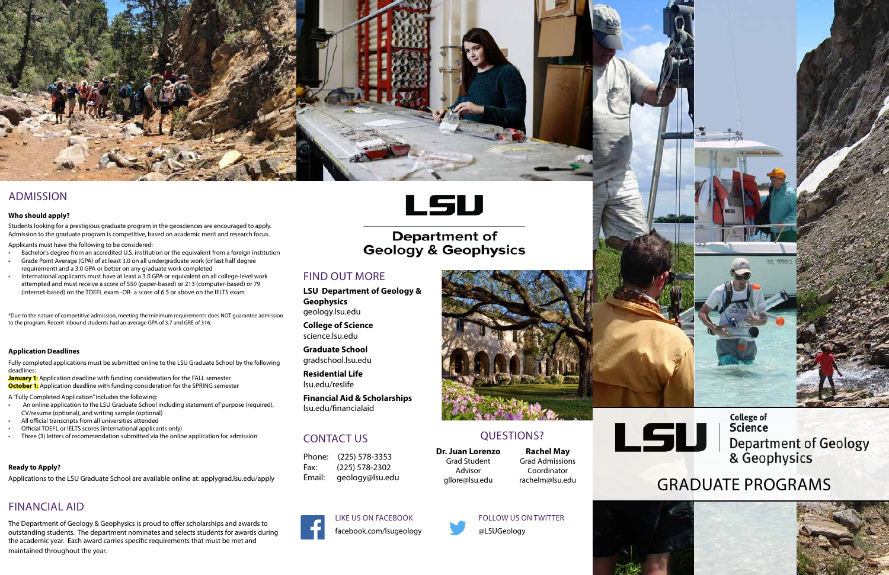# CONTACT US

Phone: (225) 578-3353 Fax: (225) 578-2302 Email: geology@lsu.edu



## FIND OUT MORE

**LSU Department of Geology & Geophysics** geology.lsu.edu

**College of Science** science.lsu.edu

**Graduate School**  gradschool.lsu.edu

**Residential Life** lsu.edu/reslife

**Financial Aid & Scholarships** lsu.edu/financialaid

#### **Ready to Apply?**

Applications to the LSU Graduate School are available online at: applygrad.lsu.edu/apply

# FINANCIAL AID



# ADMISSION

#### **Who should apply?**

Students looking for a prestigious graduate program in the geosciences are encouraged to apply. Admission to the graduate program is competitive, based on academic merit and research focus.

Applicants must have the following to be considered:

- Bachelor's degree from an accredited U.S. institution or the equivalent from a foreign institution
- Grade Point Average (GPA) of at least 3.0 on all undergraduate work (or last half degree requirement) and a 3.0 GPA or better on any graduate work completed
- International applicants must have at least a 3.0 GPA or equivalent on all college-level work attempted and must receive a score of 550 (paper-based) or 213 (computer-based) or 79 (Internet-based) on the TOEFL exam -OR- a score of 6.5 or above on the IELTS exam

\*Due to the nature of competitive admission, meeting the minimum requirements does NOT guarantee admission to the program. Recent inbound students had an average GPA of 3.7 and GRE of 316.

#### **Application Deadlines**

Fully completed applications must be submitted online to the LSU Graduate School by the following deadlines:

**January 1:** Application deadline with funding consideration for the FALL semester **October 1:** Application deadline with funding consideration for the SPRING semester

A "Fully Completed Application" includes the following:

- An online application to the LSU Graduate School including statement of purpose (required), CV/resume (optional), and writing sample (optional)
- All official transcripts from all universities attended
- Official TOEFL or IELTS scores (international applicants only)
- Three (3) letters of recommendation submitted via the online application for admission

LIKE US ON FACEBOOK facebook.com/lsugeology



# **Department of Geology & Geophysics**

FOLLOW US ON TWITTER @LSUGeology

# QUESTIONS?

**Dr. Juan Lorenzo** Grad Student Advisor gllore@lsu.edu



**Rachel May** Grad Admissions Coordinator rachelm@lsu.edu





The Department of Geology & Geophysics is proud to offer scholarships and awards to outstanding students. The department nominates and selects students for awards during the academic year. Each award carries specific requirements that must be met and maintained throughout the year.



# GRADUATE PROGRAMS